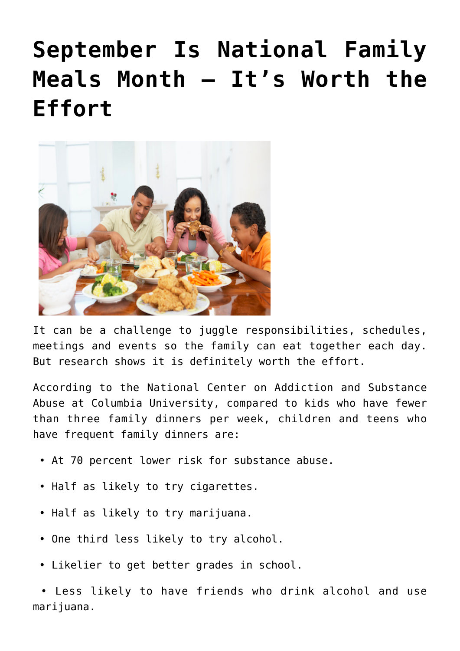## **[September Is National Family](https://livewellutah.org/2020/09/18/september-is-national-family-meals-month-its-worth-the-effort/) [Meals Month – It's Worth the](https://livewellutah.org/2020/09/18/september-is-national-family-meals-month-its-worth-the-effort/) [Effort](https://livewellutah.org/2020/09/18/september-is-national-family-meals-month-its-worth-the-effort/)**



It can be a challenge to juggle responsibilities, schedules, meetings and events so the family can eat together each day. But research shows it is definitely worth the effort.

According to the National Center on Addiction and Substance Abuse at Columbia University, compared to kids who have fewer than three family dinners per week, children and teens who have frequent family dinners are:

- At 70 percent lower risk for substance abuse.
- Half as likely to try cigarettes.
- Half as likely to try marijuana.
- One third less likely to try alcohol.
- Likelier to get better grades in school.

 • Less likely to have friends who drink alcohol and use marijuana.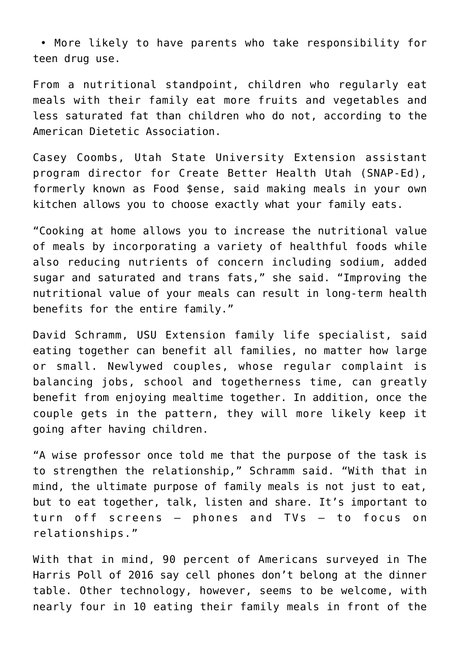• More likely to have parents who take responsibility for teen drug use.

From a nutritional standpoint, children who regularly eat meals with their family eat more fruits and vegetables and less saturated fat than children who do not, according to the American Dietetic Association.

Casey Coombs, Utah State University Extension assistant program director for Create Better Health Utah (SNAP-Ed), formerly known as Food \$ense, said making meals in your own kitchen allows you to choose exactly what your family eats.

"Cooking at home allows you to increase the nutritional value of meals by incorporating a variety of healthful foods while also reducing nutrients of concern including sodium, added sugar and saturated and trans fats," she said. "Improving the nutritional value of your meals can result in long-term health benefits for the entire family."

David Schramm, USU Extension family life specialist, said eating together can benefit all families, no matter how large or small. Newlywed couples, whose regular complaint is balancing jobs, school and togetherness time, can greatly benefit from enjoying mealtime together. In addition, once the couple gets in the pattern, they will more likely keep it going after having children.

"A wise professor once told me that the purpose of the task is to strengthen the relationship," Schramm said. "With that in mind, the ultimate purpose of family meals is not just to eat, but to eat together, talk, listen and share. It's important to turn off screens – phones and TVs – to focus on relationships."

With that in mind, 90 percent of Americans surveyed in The Harris Poll of 2016 say cell phones don't belong at the dinner table. Other technology, however, seems to be welcome, with nearly four in 10 eating their family meals in front of the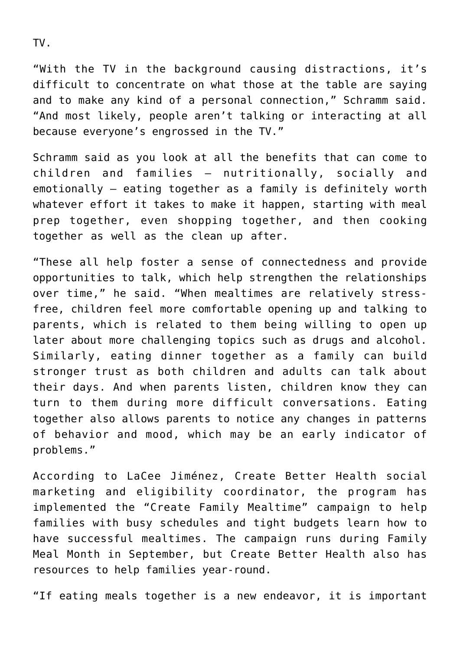TV.

"With the TV in the background causing distractions, it's difficult to concentrate on what those at the table are saying and to make any kind of a personal connection," Schramm said. "And most likely, people aren't talking or interacting at all because everyone's engrossed in the TV."

Schramm said as you look at all the benefits that can come to children and families – nutritionally, socially and emotionally – eating together as a family is definitely worth whatever effort it takes to make it happen, starting with meal prep together, even shopping together, and then cooking together as well as the clean up after.

"These all help foster a sense of connectedness and provide opportunities to talk, which help strengthen the relationships over time," he said. "When mealtimes are relatively stressfree, children feel more comfortable opening up and talking to parents, which is related to them being willing to open up later about more challenging topics such as drugs and alcohol. Similarly, eating dinner together as a family can build stronger trust as both children and adults can talk about their days. And when parents listen, children know they can turn to them during more difficult conversations. Eating together also allows parents to notice any changes in patterns of behavior and mood, which may be an early indicator of problems."

According to LaCee Jiménez, Create Better Health social marketing and eligibility coordinator, the program has implemented the "Create Family Mealtime" campaign to help families with busy schedules and tight budgets learn how to have successful mealtimes. The campaign runs during Family Meal Month in September, but Create Better Health also has resources to help families year-round.

"If eating meals together is a new endeavor, it is important